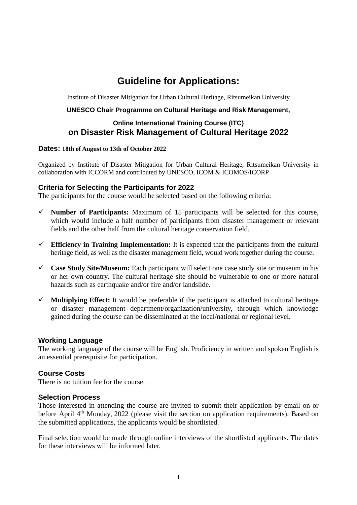# **Guideline for Applications:**

Institute of Disaster Mitigation for Urban Cultural Heritage, Ritsumeikan University

#### **UNESCO Chair Programme on Cultural Heritage and Risk Management,**

## **Online International Training Course (ITC) on Disaster Risk Management of Cultural Heritage 2022**

#### **Dates: 18th of August to 13th of October 2022**

Organized by Institute of Disaster Mitigation for Urban Cultural Heritage, Ritsumeikan University in collaboration with ICCORM and contributed by UNESCO, ICOM & ICOMOS/ICORP

#### **Criteria for Selecting the Participants for 2022**

The participants for the course would be selected based on the following criteria:

- $\checkmark$  **Number of Participants:** Maximum of 15 participants will be selected for this course, which would include a half number of participants from disaster management or relevant fields and the other half from the cultural heritage conservation field.
- $\checkmark$  Efficiency in Training Implementation: It is expected that the participants from the cultural heritage field, as well as the disaster management field, would work together during the course.
- **Case Study Site/Museum:** Each participant will select one case study site or museum in his or her own country. The cultural heritage site should be vulnerable to one or more natural hazards such as earthquake and/or fire and/or landslide.
- $\checkmark$  **Multiplying Effect:** It would be preferable if the participant is attached to cultural heritage or disaster management department/organization/university, through which knowledge gained during the course can be disseminated at the local/national or regional level.

#### **Working Language**

The working language of the course will be English. Proficiency in written and spoken English is an essential prerequisite for participation.

## **Course Costs**

There is no tuition fee for the course.

#### **Selection Process**

Those interested in attending the course are invited to submit their application by email on or before April 4<sup>th</sup> Monday, 2022 (please visit the section on application requirements). Based on the submitted applications, the applicants would be shortlisted.

Final selection would be made through online interviews of the shortlisted applicants. The dates for these interviews will be informed later.